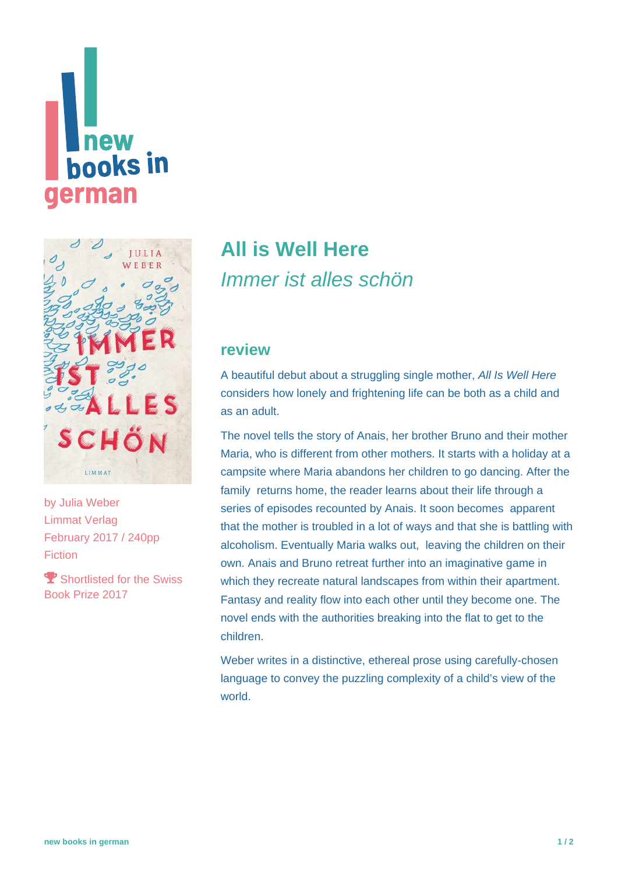# **new books** in erman



by [Julia Weber](https://www.new-books-in-german.com/recommendations/?searchInput=Julia%20Weber) Limmat Verlag February 2017 / 240pp Fiction

**Shortlisted for the Swiss** Book Prize 2017

## **[All is Well Here](https://www.new-books-in-german.com/recommendations/all-is-well-here/)** Immer ist alles schön

#### **review**

A beautiful debut about a struggling single mother, All Is Well Here considers how lonely and frightening life can be both as a child and as an adult.

The novel tells the story of Anais, her brother Bruno and their mother Maria, who is different from other mothers. It starts with a holiday at a campsite where Maria abandons her children to go dancing. After the family returns home, the reader learns about their life through a series of episodes recounted by Anais. It soon becomes apparent that the mother is troubled in a lot of ways and that she is battling with alcoholism. Eventually Maria walks out, leaving the children on their own. Anais and Bruno retreat further into an imaginative game in which they recreate natural landscapes from within their apartment. Fantasy and reality flow into each other until they become one. The novel ends with the authorities breaking into the flat to get to the children.

Weber writes in a distinctive, ethereal prose using carefully-chosen language to convey the puzzling complexity of a child's view of the world.